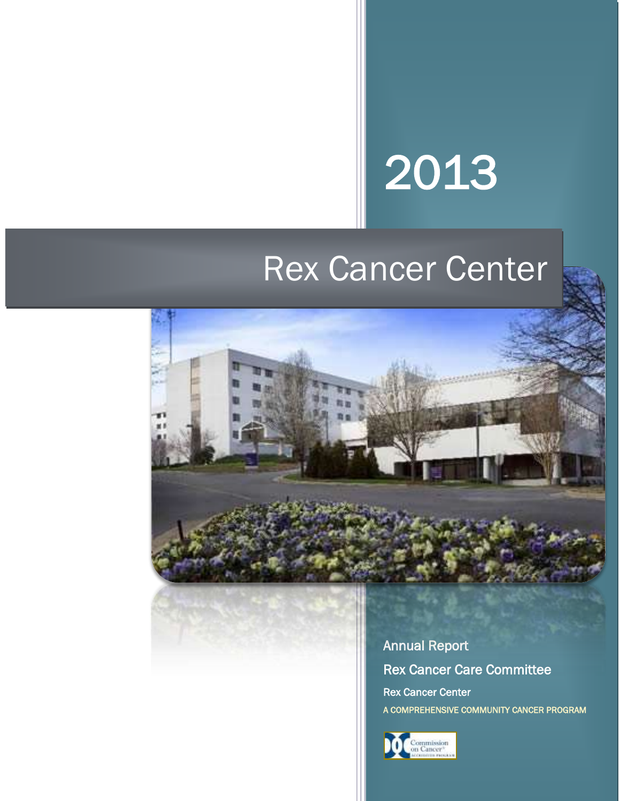# 2013

# Rex Cancer Center



Annual Report Rex Cancer Care Committee Rex Cancer Center A COMPREHENSIVE COMMUNITY CANCER PROGRAM

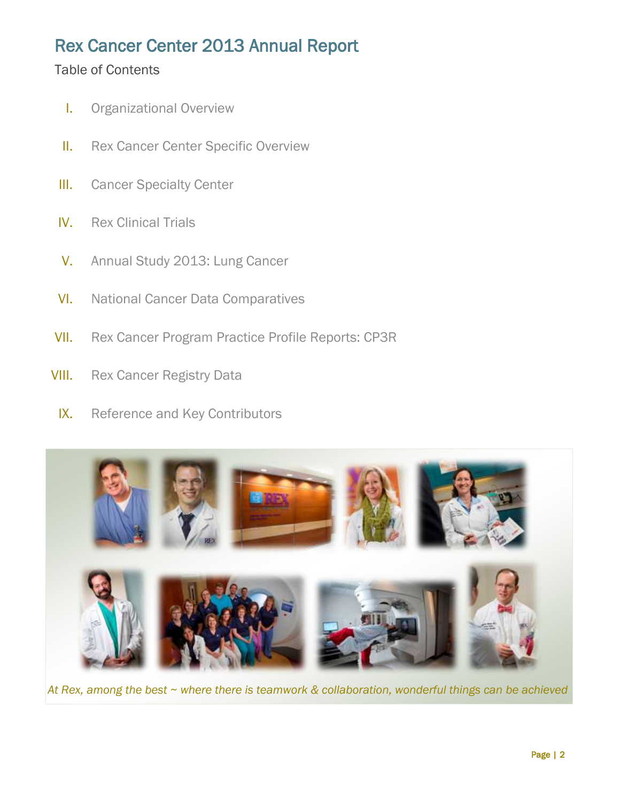# Rex Cancer Center 2013 Annual Report

# Table of Contents

- I. Organizational Overview
- **II.** Rex Cancer Center Specific Overview
- **III.** Cancer Specialty Center
- IV. Rex Clinical Trials
- V. Annual Study 2013: Lung Cancer
- VI. National Cancer Data Comparatives
- VII. Rex Cancer Program Practice Profile Reports: CP3R
- **VIII.** Rex Cancer Registry Data
	- IX. Reference and Key Contributors



*At Rex, among the best ~ where there is teamwork & collaboration, wonderful things can be achieved*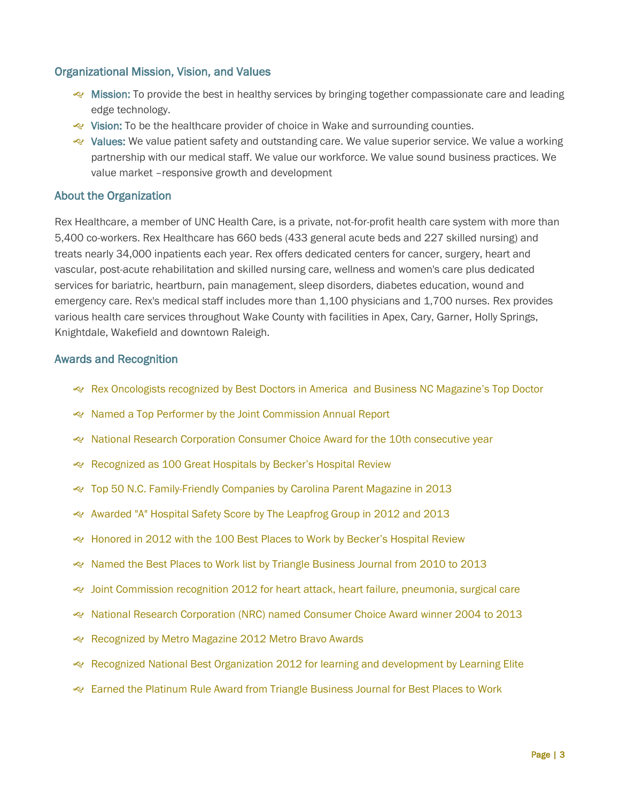#### Organizational Mission, Vision, and Values

- Mission: To provide the best in healthy services by bringing together compassionate care and leading edge technology.
- Vision: To be the healthcare provider of choice in Wake and surrounding counties.
- values: We value patient safety and outstanding care. We value superior service. We value a working partnership with our medical staff. We value our workforce. We value sound business practices. We value market –responsive growth and development

#### About the Organization

Rex Healthcare, a member of UNC Health Care, is a private, not-for-profit health care system with more than 5,400 co-workers. Rex Healthcare has 660 beds (433 general acute beds and 227 skilled nursing) and treats nearly 34,000 inpatients each year. Rex offers dedicated centers for cancer, surgery, heart and vascular, post-acute rehabilitation and skilled nursing care, wellness and women's care plus dedicated services for bariatric, heartburn, pain management, sleep disorders, diabetes education, wound and emergency care. Rex's medical staff includes more than 1,100 physicians and 1,700 nurses. Rex provides various health care services throughout Wake County with facilities in Apex, Cary, Garner, Holly Springs, Knightdale, Wakefield and downtown Raleigh.

#### Awards and Recognition

- Rex Oncologists recognized by Best Doctors in America and Business NC Magazine's Top Doctor
- Named a Top Performer by the Joint Commission Annual Report
- National Research Corporation Consumer Choice Award for the 10th consecutive year
- Recognized as 100 Great Hospitals by Becker's Hospital Review
- Top 50 N.C. Family-Friendly Companies by Carolina Parent Magazine in 2013
- Awarded "A" Hospital Safety Score by The Leapfrog Group in 2012 and 2013
- Honored in 2012 with the 100 Best Places to Work by Becker's Hospital Review
- Named the Best Places to Work list by Triangle Business Journal from 2010 to 2013
- Joint Commission recognition 2012 for heart attack, heart failure, pneumonia, surgical care
- National Research Corporation (NRC) named Consumer Choice Award winner 2004 to 2013
- Recognized by Metro Magazine 2012 Metro Bravo Awards
- Recognized National Best Organization 2012 for learning and development by Learning Elite
- Earned the Platinum Rule Award from Triangle Business Journal for Best Places to Work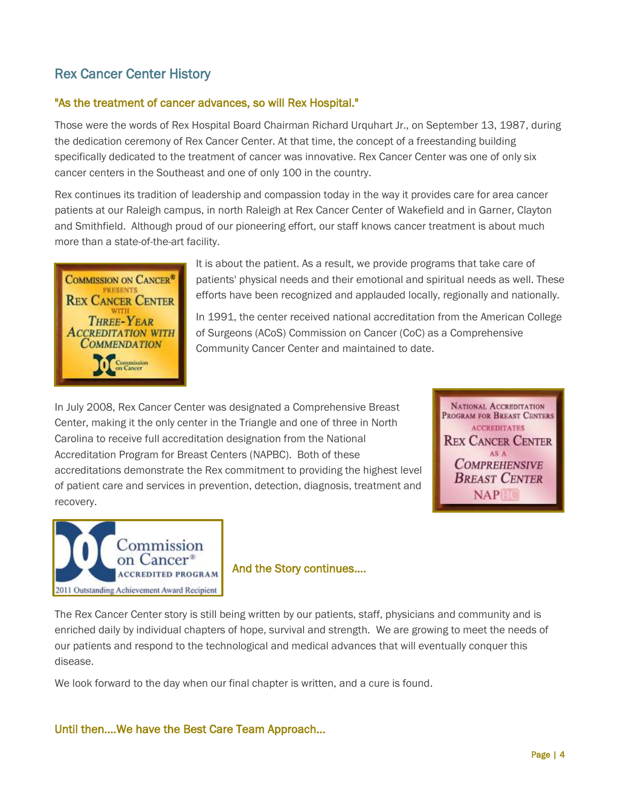# Rex Cancer Center History

### "As the treatment of cancer advances, so will Rex Hospital."

Those were the words of Rex Hospital Board Chairman Richard Urquhart Jr., on September 13, 1987, during the dedication ceremony of Rex Cancer Center. At that time, the concept of a freestanding building specifically dedicated to the treatment of cancer was innovative. Rex Cancer Center was one of only six cancer centers in the Southeast and one of only 100 in the country.

Rex continues its tradition of leadership and compassion today in the way it provides care for area cancer patients at our Raleigh campus, in north Raleigh at Rex Cancer Center of Wakefield and in Garner, Clayton and Smithfield. Although proud of our pioneering effort, our staff knows [cancer treatment](http://www.rexhealth.com/body.cfm?id=983&action=detail&AEProductID=Adam2004_1&AEArticleId=002063) is about much more than a state-of-the-art facility.



It is about the patient. As a result, we provide programs that take care of patients' physical needs and their emotional and spiritual needs as well. These efforts have been recognized and applauded locally, regionally and nationally.

In 1991, the center received national accreditation from the American College of Surgeons (ACoS) Commission on Cancer (CoC) as a Comprehensive Community Cancer Center and maintained to date.

In July 2008, Rex Cancer Center was designated a Comprehensive Breast Center, making it the only center in the Triangle and one of three in North Carolina to receive full accreditation designation from the National Accreditation Program for Breast Centers (NAPBC). Both of these accreditations demonstrate the Rex commitment to providing the highest level of patient care and services in prevention, detection, diagnosis, treatment and recovery.





#### And the Story continues….

The Rex Cancer Center story is still being written by our patients, staff, physicians and community and is enriched daily by individual chapters of hope, survival and strength. We are growing to meet the needs of our patients and respond to the technological and medical advances that will eventually conquer this disease.

We look forward to the day when our final chapter is written, and a cure is found.

#### Until then….We have the Best Care Team Approach…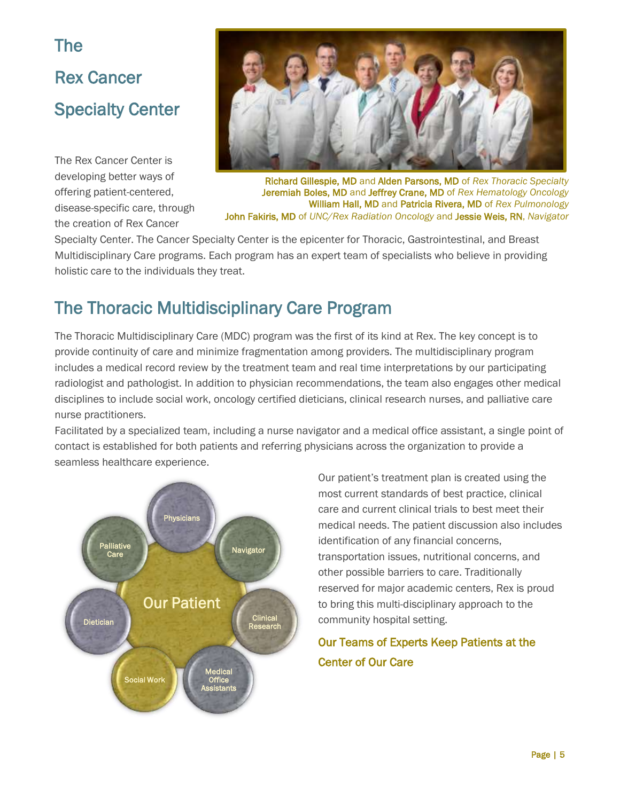# The Rex Cancer Specialty Center

The Rex Cancer Center is developing better ways of offering patient-centered, disease-specific care, through the creation of Rex Cancer



Richard Gillespie, MD and Alden Parsons, MD of *Rex Thoracic Specialty* Jeremiah Boles, MD and Jeffrey Crane, MD of *Rex Hematology Oncology* William Hall, MD and Patricia Rivera, MD of *Rex Pulmonology* John Fakiris, MD of *UNC/Rex Radiation Oncology* and Jessie Weis, RN, *Navigator*

Specialty Center. The Cancer Specialty Center is the epicenter for Thoracic, Gastrointestinal, and Breast Multidisciplinary Care programs. Each program has an expert team of specialists who believe in providing holistic care to the individuals they treat.

# The Thoracic Multidisciplinary Care Program

The Thoracic Multidisciplinary Care (MDC) program was the first of its kind at Rex. The key concept is to provide continuity of care and minimize fragmentation among providers. The multidisciplinary program includes a medical record review by the treatment team and real time interpretations by our participating radiologist and pathologist. In addition to physician recommendations, the team also engages other medical disciplines to include social work, oncology certified dieticians, clinical research nurses, and palliative care nurse practitioners.

Facilitated by a specialized team, including a nurse navigator and a medical office assistant, a single point of contact is established for both patients and referring physicians across the organization to provide a seamless healthcare experience.



Our patient's treatment plan is created using the most current standards of best practice, clinical care and current clinical trials to best meet their medical needs. The patient discussion also includes identification of any financial concerns, transportation issues, nutritional concerns, and other possible barriers to care. Traditionally reserved for major academic centers, Rex is proud to bring this multi-disciplinary approach to the community hospital setting.

# Our Teams of Experts Keep Patients at the Center of Our Care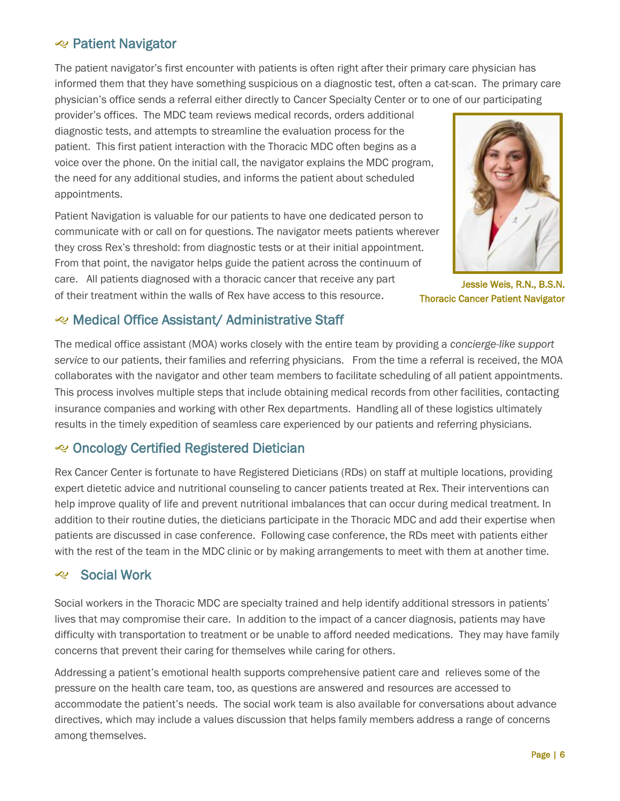# **e** Patient Navigator

The patient navigator's first encounter with patients is often right after their primary care physician has informed them that they have something suspicious on a diagnostic test, often a cat-scan. The primary care physician's office sends a referral either directly to Cancer Specialty Center or to one of our participating

provider's offices. The MDC team reviews medical records, orders additional diagnostic tests, and attempts to streamline the evaluation process for the patient. This first patient interaction with the Thoracic MDC often begins as a voice over the phone. On the initial call, the navigator explains the MDC program, the need for any additional studies, and informs the patient about scheduled appointments.

Patient Navigation is valuable for our patients to have one dedicated person to communicate with or call on for questions. The navigator meets patients wherever they cross Rex's threshold: from diagnostic tests or at their initial appointment. From that point, the navigator helps guide the patient across the continuum of care. All patients diagnosed with a thoracic cancer that receive any part of their treatment within the walls of Rex have access to this resource.



Jessie Weis, R.N., B.S.N. Thoracic Cancer Patient Navigator

#### Medical Office Assistant/ Administrative Staff

The medical office assistant (MOA) works closely with the entire team by providing a *concierge-like support service* to our patients, their families and referring physicians. From the time a referral is received, the MOA collaborates with the navigator and other team members to facilitate scheduling of all patient appointments. This process involves multiple steps that include obtaining medical records from other facilities, contacting insurance companies and working with other Rex departments. Handling all of these logistics ultimately results in the timely expedition of seamless care experienced by our patients and referring physicians.

# Oncology Certified Registered Dietician

Rex Cancer Center is fortunate to have Registered Dieticians (RDs) on staff at multiple locations, providing expert dietetic advice and nutritional counseling to cancer patients treated at Rex. Their interventions can help improve quality of life and prevent nutritional imbalances that can occur during medical treatment. In addition to their routine duties, the dieticians participate in the Thoracic MDC and add their expertise when patients are discussed in case conference. Following case conference, the RDs meet with patients either with the rest of the team in the MDC clinic or by making arrangements to meet with them at another time.

# Social Work

Social workers in the Thoracic MDC are specialty trained and help identify additional stressors in patients' lives that may compromise their care. In addition to the impact of a cancer diagnosis, patients may have difficulty with transportation to treatment or be unable to afford needed medications. They may have family concerns that prevent their caring for themselves while caring for others.

Addressing a patient's emotional health supports comprehensive patient care and relieves some of the pressure on the health care team, too, as questions are answered and resources are accessed to accommodate the patient's needs. The social work team is also available for conversations about advance directives, which may include a values discussion that helps family members address a range of concerns among themselves.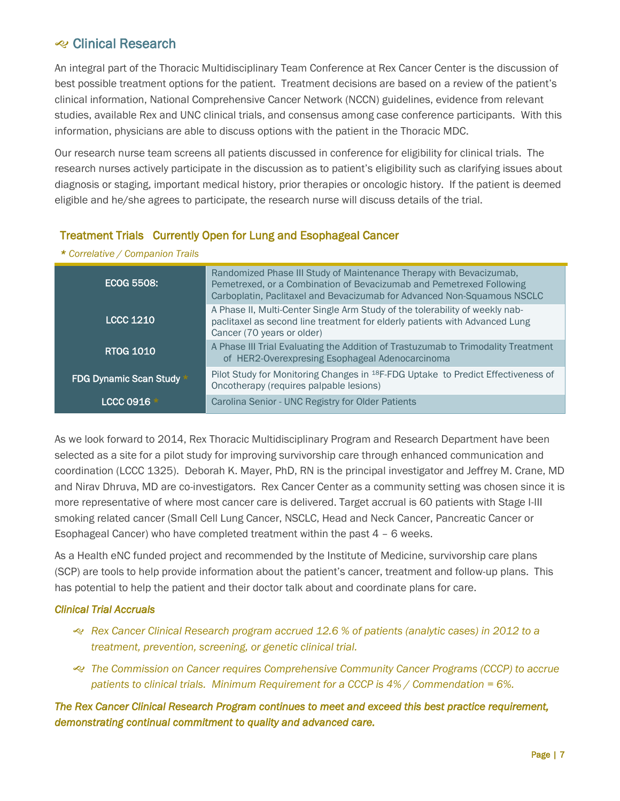# **Exercise Clinical Research**

An integral part of the Thoracic Multidisciplinary Team Conference at Rex Cancer Center is the discussion of best possible treatment options for the patient. Treatment decisions are based on a review of the patient's clinical information, National Comprehensive Cancer Network (NCCN) guidelines, evidence from relevant studies, available Rex and UNC clinical trials, and consensus among case conference participants. With this information, physicians are able to discuss options with the patient in the Thoracic MDC.

Our research nurse team screens all patients discussed in conference for eligibility for clinical trials. The research nurses actively participate in the discussion as to patient's eligibility such as clarifying issues about diagnosis or staging, important medical history, prior therapies or oncologic history. If the patient is deemed eligible and he/she agrees to participate, the research nurse will discuss details of the trial.

#### Treatment Trials Currently Open for Lung and Esophageal Cancer

| ECOG 5508:               | Randomized Phase III Study of Maintenance Therapy with Bevacizumab,<br>Pemetrexed, or a Combination of Bevacizumab and Pemetrexed Following<br>Carboplatin, Paclitaxel and Bevacizumab for Advanced Non-Squamous NSCLC |
|--------------------------|------------------------------------------------------------------------------------------------------------------------------------------------------------------------------------------------------------------------|
| <b>LCCC 1210</b>         | A Phase II, Multi-Center Single Arm Study of the tolerability of weekly nab-<br>paclitaxel as second line treatment for elderly patients with Advanced Lung<br>Cancer (70 years or older)                              |
| <b>RTOG 1010</b>         | A Phase III Trial Evaluating the Addition of Trastuzumab to Trimodality Treatment<br>of HER2-Overexpresing Esophageal Adenocarcinoma                                                                                   |
| FDG Dynamic Scan Study * | Pilot Study for Monitoring Changes in <sup>18</sup> F-FDG Uptake to Predict Effectiveness of<br>Oncotherapy (requires palpable lesions)                                                                                |
| <b>LCCC 0916</b>         | Carolina Senior - UNC Registry for Older Patients                                                                                                                                                                      |

As we look forward to 2014, Rex Thoracic Multidisciplinary Program and Research Department have been selected as a site for a pilot study for improving survivorship care through enhanced communication and coordination (LCCC 1325). Deborah K. Mayer, PhD, RN is the principal investigator and Jeffrey M. Crane, MD and Nirav Dhruva, MD are co-investigators. Rex Cancer Center as a community setting was chosen since it is more representative of where most cancer care is delivered. Target accrual is 60 patients with Stage I-III smoking related cancer (Small Cell Lung Cancer, NSCLC, Head and Neck Cancer, Pancreatic Cancer or Esophageal Cancer) who have completed treatment within the past 4 – 6 weeks.

As a Health eNC funded project and recommended by the Institute of Medicine, survivorship care plans (SCP) are tools to help provide information about the patient's cancer, treatment and follow-up plans. This has potential to help the patient and their doctor talk about and coordinate plans for care.

#### *Clinical Trial Accruals*

- *Rex Cancer Clinical Research program accrued 12.6 % of patients (analytic cases) in 2012 to a treatment, prevention, screening, or genetic clinical trial.*
- *The Commission on Cancer requires Comprehensive Community Cancer Programs (CCCP) to accrue patients to clinical trials. Minimum Requirement for a CCCP is 4% / Commendation = 6%.*

*The Rex Cancer Clinical Research Program continues to meet and exceed this best practice requirement, demonstrating continual commitment to quality and advanced care.*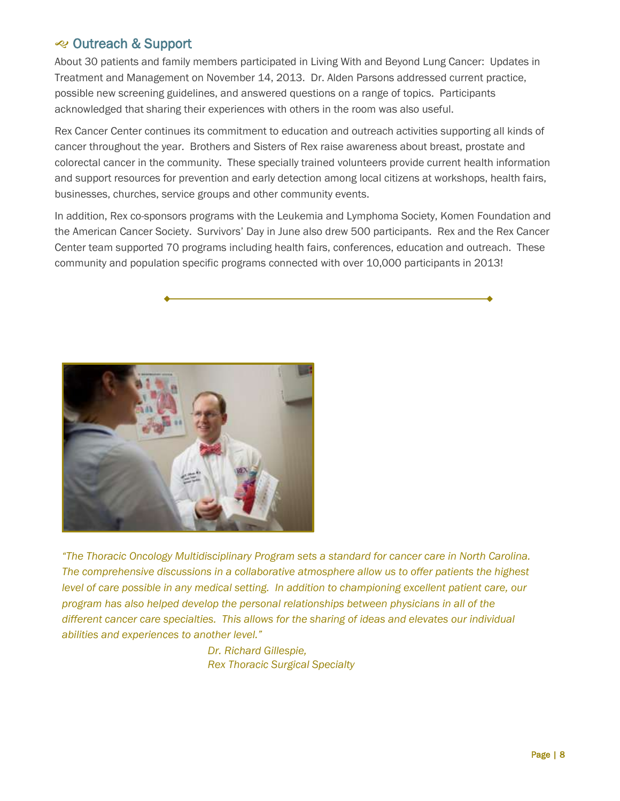### **Exercise Outreach & Support**

About 30 patients and family members participated in Living With and Beyond Lung Cancer: Updates in Treatment and Management on November 14, 2013. Dr. Alden Parsons addressed current practice, possible new screening guidelines, and answered questions on a range of topics. Participants acknowledged that sharing their experiences with others in the room was also useful.

Rex Cancer Center continues its commitment to education and outreach activities supporting all kinds of cancer throughout the year. Brothers and Sisters of Rex raise awareness about breast, prostate and colorectal cancer in the community. These specially trained volunteers provide current health information and support resources for prevention and early detection among local citizens at workshops, health fairs, businesses, churches, service groups and other community events.

In addition, Rex co-sponsors programs with the Leukemia and Lymphoma Society, Komen Foundation and the American Cancer Society. Survivors' Day in June also drew 500 participants. Rex and the Rex Cancer Center team supported 70 programs including health fairs, conferences, education and outreach. These community and population specific programs connected with over 10,000 participants in 2013!



*"The Thoracic Oncology Multidisciplinary Program sets a standard for cancer care in North Carolina. The comprehensive discussions in a collaborative atmosphere allow us to offer patients the highest level of care possible in any medical setting. In addition to championing excellent patient care, our program has also helped develop the personal relationships between physicians in all of the different cancer care specialties. This allows for the sharing of ideas and elevates our individual abilities and experiences to another level."*

> *Dr. Richard Gillespie, Rex Thoracic Surgical Specialty*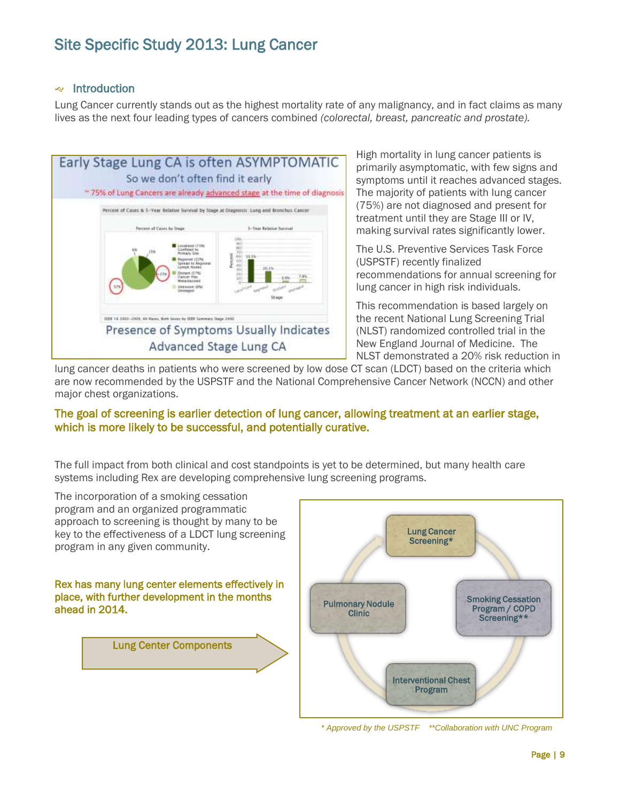# Site Specific Study 2013: Lung Cancer

#### **e** Introduction

Lung Cancer currently stands out as the highest mortality rate of any malignancy, and in fact claims as many lives as the next four leading types of cancers combined *(colorectal, breast, pancreatic and prostate).*



High mortality in lung cancer patients is primarily asymptomatic, with few signs and symptoms until it reaches advanced stages. The majority of patients with lung cancer (75%) are not diagnosed and present for treatment until they are Stage III or IV, making survival rates significantly lower.

The U.S. Preventive Services Task Force (USPSTF) recently finalized recommendations for annual screening for lung cancer in high risk individuals.

This recommendation is based largely on the recent National Lung Screening Trial (NLST) randomized controlled trial in the New England Journal of Medicine. The NLST demonstrated a 20% risk reduction in

lung cancer deaths in patients who were screened by low dose CT scan (LDCT) based on the criteria which are now recommended by the USPSTF and the National Comprehensive Cancer Network (NCCN) and other major chest organizations.

#### The goal of screening is earlier detection of lung cancer, allowing treatment at an earlier stage, which is more likely to be successful, and potentially curative.

The full impact from both clinical and cost standpoints is yet to be determined, but many health care systems including Rex are developing comprehensive lung screening programs.

The incorporation of a smoking cessation program and an organized programmatic approach to screening is thought by many to be key to the effectiveness of a LDCT lung screening program in any given community. Rex has many lung center elements effectively in place, with further development in the months ahead in 2014. Clinic

Lung Center Components



*\* Approved by the USPSTF \*\*Collaboration with UNC Program*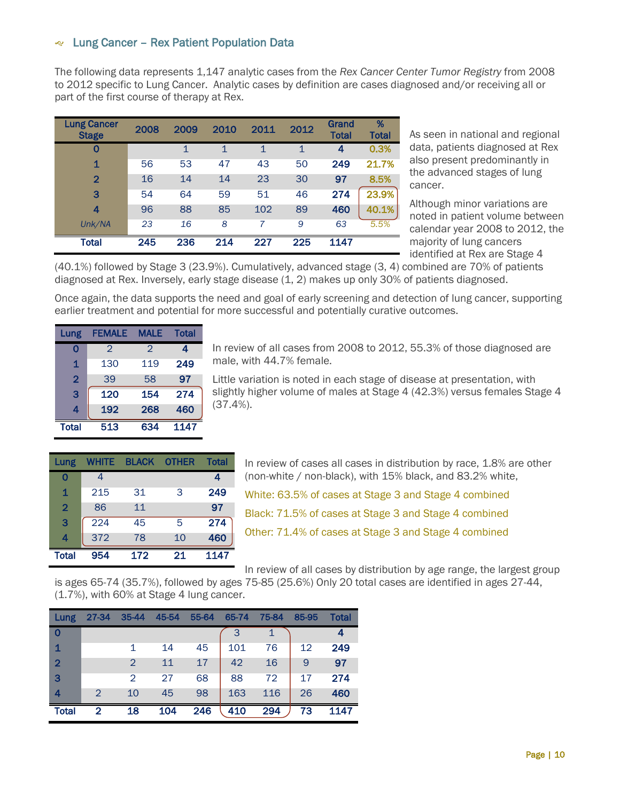#### Lung Cancer – Rex Patient Population Data

The following data represents 1,147 analytic cases from the *Rex Cancer Center Tumor Registry* from 2008 to 2012 specific to Lung Cancer. Analytic cases by definition are cases diagnosed and/or receiving all or part of the first course of therapy at Rex.

| <b>Lung Cancer</b><br><b>Stage</b> | 2008 | 2009        | 2010 | 2011         | 2012         | Grand<br><b>Total</b> | %<br>Total |
|------------------------------------|------|-------------|------|--------------|--------------|-----------------------|------------|
| 0                                  |      | $\mathbf 1$ | 1    | $\mathbf{1}$ | $\mathbf{1}$ | 4                     | 0.3%       |
| 1                                  | 56   | 53          | 47   | 43           | 50           | 249                   | 21.7%      |
| $\overline{2}$                     | 16   | 14          | 14   | 23           | 30           | 97                    | 8.5%       |
| 3                                  | 54   | 64          | 59   | 51           | 46           | 274                   | 23.9%      |
| 4                                  | 96   | 88          | 85   | 102          | 89           | 460                   | 40.1%      |
| Unk/NA                             | 23   | 16          | 8    | 7            | 9            | 63                    | 5.5%       |
| Total                              | 245  | 236         | 214  | 227          | 225          | 1147                  |            |

As seen in national and regional data, patients diagnosed at Rex also present predominantly in the advanced stages of lung cancer.

Although minor variations are noted in patient volume between calendar year 2008 to 2012, the majority of lung cancers identified at Rex are Stage 4

(40.1%) followed by Stage 3 (23.9%). Cumulatively, advanced stage (3, 4) combined are 70% of patients diagnosed at Rex. Inversely, early stage disease (1, 2) makes up only 30% of patients diagnosed.

Once again, the data supports the need and goal of early screening and detection of lung cancer, supporting earlier treatment and potential for more successful and potentially curative outcomes.

| Lung                    | <b>FEMALE</b> | <b>MALE</b>   | <b>Total</b> |
|-------------------------|---------------|---------------|--------------|
| 0                       | $\mathcal{P}$ | $\mathcal{P}$ | 4            |
| $\mathbf{1}$            | 130           | 119           | 249          |
| $\overline{2}$          | 39            | 58            | 97           |
| 3                       | 120           | 154           | 274          |
| $\overline{\mathbf{4}}$ | 192           | 268           | 460          |
| <b>Total</b>            | 513           | 634           | 1147         |

In review of all cases from 2008 to 2012, 55.3% of those diagnosed are male, with 44.7% female.

Little variation is noted in each stage of disease at presentation, with slightly higher volume of males at Stage 4 (42.3%) versus females Stage 4 (37.4%).

| Lung           | <b>WHITE</b> | <b>BLACK</b> | <b>OTHER</b> | <b>Total</b> |
|----------------|--------------|--------------|--------------|--------------|
| 0              | 4            |              |              | 4            |
| 1              | 215          | 31           | 3            | 249          |
| $\overline{2}$ | 86           | 11           |              | 97           |
| 3              | 224          | 45           | 5            | 274          |
| 4              | 372          | 78           | 10           | 460          |
| <b>Total</b>   | 954          | 172          | 21           | 1147         |

In review of cases all cases in distribution by race, 1.8% are other (non-white / non-black), with 15% black, and 83.2% white,

White: 63.5% of cases at Stage 3 and Stage 4 combined

Black: 71.5% of cases at Stage 3 and Stage 4 combined

Other: 71.4% of cases at Stage 3 and Stage 4 combined

In review of all cases by distribution by age range, the largest group

is ages 65-74 (35.7%), followed by ages 75-85 (25.6%) Only 20 total cases are identified in ages 27-44, (1.7%), with 60% at Stage 4 lung cancer.

| Lung           | 27-34 | $35 - 44$     | 45-54 | 55-64 | 65-74 | 75-84 | 85-95 | <b>Total</b> |
|----------------|-------|---------------|-------|-------|-------|-------|-------|--------------|
| $\mathbf 0$    |       |               |       |       |       |       |       |              |
| 1              |       |               | 14    | 45    | 101   | 76    | 12    | 249          |
| $\overline{2}$ |       | $\mathcal{P}$ | 11    | 17    | 42    | 16    | 9     | 97           |
| 3              |       | 2             | 27    | 68    | 88    | 72    | 17    | 274          |
| 4              | 2     | 10            | 45    | 98    | 163   | 116   | 26    | 460          |
| Total          | 2     | 18            | 104   | 246   | 410   | 294   | 73    | 1147         |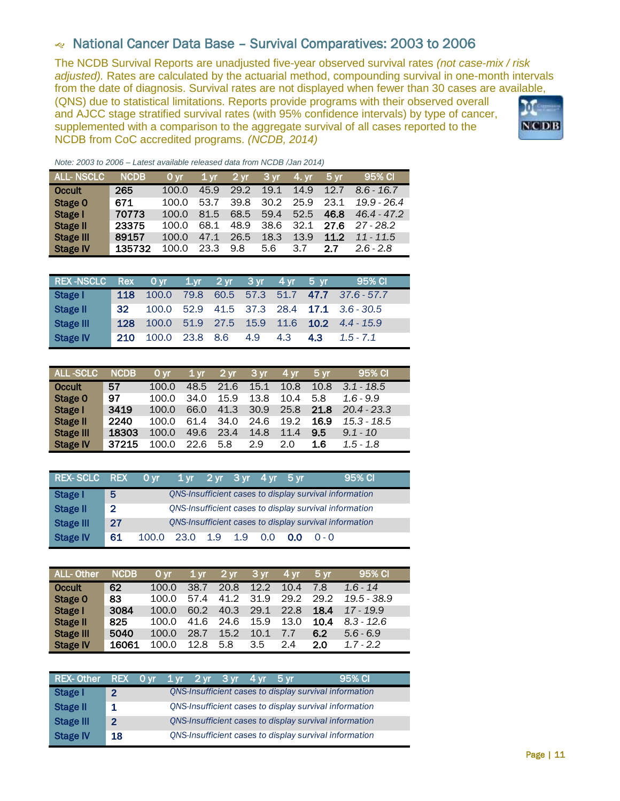# National Cancer Data Base – Survival Comparatives: 2003 to 2006

The NCDB Survival Reports are unadjusted five-year observed survival rates *(not case-mix / risk adjusted).* Rates are calculated by the actuarial method, compounding survival in one-month intervals from the date of diagnosis. Survival rates are not displayed when fewer than 30 cases are available,

(QNS) due to statistical limitations. Reports provide programs with their observed overall and AJCC stage stratified survival rates (with 95% confidence intervals) by type of cancer, supplemented with a comparison to the aggregate survival of all cases reported to the NCDB from CoC accredited programs. *(NCDB, 2014)*



*Note: 2003 to 2006 – Latest available released data from NCDB /Jan 2014)*

| <b>IALL- NSCLC</b> ' | <b>NCDB</b> | 0 vr  | 1 <sub>yr</sub> | $2 \,\mathrm{yr}$ | $3 \,\mathrm{yr}$ | 4. vr | 5 yr. | 95% CI        |
|----------------------|-------------|-------|-----------------|-------------------|-------------------|-------|-------|---------------|
| <b>Occult</b>        | 265         | 100.0 | 45.9            | 29.2              | 19.1              | 14.9  | 12.7  | $8.6 - 16.7$  |
| Stage 0              | 671         | 100.0 | 53.7            | 39.8              | 30.2              | 25.9  | 23.1  | $19.9 - 26.4$ |
| Stage I              | 70773       | 100.0 | 81.5            | 68.5              | 59.4              | 52.5  | 46.8  | $46.4 - 47.2$ |
| <b>Stage II</b>      | 23375       | 100.0 | 68.1            | 48.9              | 38.6              | 32.1  | 27.6  | $27 - 28.2$   |
| <b>Stage III</b>     | 89157       | 100.0 | 47.1            | 26.5              | 18.3              | 13.9  | 11.2  | $11 - 11.5$   |
| <b>Stage IV</b>      | 135732      | 100.0 | 23.3            | 9.8               | 5.6               | 3.7   | 27    | $26 - 28$     |

| <b>REX-NSCLC</b> | <b>Rex</b> | l 0 vr j | $1.$ vr | $2 \, yr$ | $3 \text{ yr}$ | 4 yr | $5 \text{ yr}$ | 95% CI                         |
|------------------|------------|----------|---------|-----------|----------------|------|----------------|--------------------------------|
| Stage I          | 118        | 100.0    | 79.8    |           | 60.5 57.3      | 51.7 |                | 47.7 37.6 - 57.7               |
| <b>Stage II</b>  | 32         | 100.0    | 52.9    |           |                |      |                | 41.5 37.3 28.4 17.1 3.6 - 30.5 |
| <b>Stage III</b> | 128        | 100.0    | 51.9    | 27.5      | 15.9           | 11.6 | 10.2           | $4.4 - 15.9$                   |
| <b>Stage IV</b>  | 210        | 100.0    | 23.8    | 8.6       | 4.9            | 4.3  | 4.3            | $1.5 - 7.1$                    |

| <b>ALL-SCLC</b>  | <b>NCDB</b> | 0 <sub>vr</sub> | 1 <sub>vr</sub> | $12 \,\mathrm{yr}$ | 3 <sub>yr</sub> | 4 vr | 5 <sub>vr</sub> | 95% CI        |
|------------------|-------------|-----------------|-----------------|--------------------|-----------------|------|-----------------|---------------|
| <b>Occult</b>    | 57          | 100.0           | 48.5            | 21.6               | 15.1            | 10.8 | 10.8            | $3.1 - 18.5$  |
| Stage 0          | 97          | 100.0           | 34.0            | 15.9               | 13.8            | 10.4 | 5.8             | $1.6 - 9.9$   |
| Stage I          | 3419        | 100.0           | 66.0            | 41.3               | 30.9            | 25.8 | 21.8            | $20.4 - 23.3$ |
| <b>Stage II</b>  | 2240        | 100.0           | 61.4            | 34.0               | 24.6            | 19.2 | 16.9            | $15.3 - 18.5$ |
| <b>Stage III</b> | 18303       | 100.0           | 49.6            | 23.4               | 14.8            | 11.4 | 9.5             | $9.1 - 10$    |
| <b>Stage IV</b>  | 37215       | 100.0           | 22.6            | 5.8                | 2.9             | 2.0  | 1.6             | $1.5 - 1.8$   |

| REX-SCLC REX     |                |       | Oyr 1yr 2yr 3yr 4yr 5yr |  |     |     | 95% CI                                                 |
|------------------|----------------|-------|-------------------------|--|-----|-----|--------------------------------------------------------|
| <b>Stage I</b>   | 5              |       |                         |  |     |     | QNS-Insufficient cases to display survival information |
| <b>Stage II</b>  | $\overline{2}$ |       |                         |  |     |     | QNS-Insufficient cases to display survival information |
| <b>Stage III</b> | 27             |       |                         |  |     |     | ONS-Insufficient cases to display survival information |
| <b>Stage IV</b>  | 61             | 100.0 | 23.0 1.9 1.9            |  | 0.0 | 0.0 | $O - O$                                                |

| ALL-Other        | <b>NCDB</b> | 0 <sub>vr</sub> | $1 \,\mathrm{vr}$ | 2 <sub>yr</sub> | 3 yr | 4 <sub>vr</sub> | 5 <sub>vr</sub> | 95% CI       |
|------------------|-------------|-----------------|-------------------|-----------------|------|-----------------|-----------------|--------------|
| <b>Occult</b>    | 62          | 100.0           | 38.7              | 20.8            | 12.2 | 10.4            | 7.8             | $1.6 - 14$   |
| Stage 0          | 83          | 100.0           | 57.4              | 41.2            | 31.9 | 29.2            | 29.2            | 19.5 - 38.9  |
| Stage I          | 3084        | 100.0           | 60.2              | 40.3            | 29.1 | 22.8            | 18.4            | $17 - 19.9$  |
| Stage II         | 825         | 100.0           | 41.6              | 24.6            | 15.9 | 13.0            | 10.4            | $8.3 - 12.6$ |
| <b>Stage III</b> | 5040        | 100.0           | 28.7              | 15.2            | 10.1 | 7.7             | 6.2             | $5.6 - 6.9$  |
| <b>Stage IV</b>  | 16061       | 100.0           | 12.8              | 5.8             | 3.5  | 2.4             | 2.0             | $1.7 - 2.2$  |

| <b>REX-Other</b> | REX Oyr 1.yr 2.yr 3.yr 4.yr 5.yr |  |  |  | 95% CI                                                 |
|------------------|----------------------------------|--|--|--|--------------------------------------------------------|
| <b>Stage I</b>   | 2                                |  |  |  | QNS-Insufficient cases to display survival information |
| <b>Stage II</b>  | 1                                |  |  |  | ONS-Insufficient cases to display survival information |
| <b>Stage III</b> | $\mathbf{\Omega}$                |  |  |  | QNS-Insufficient cases to display survival information |
| <b>Stage IV</b>  | 18                               |  |  |  | ONS-Insufficient cases to display survival information |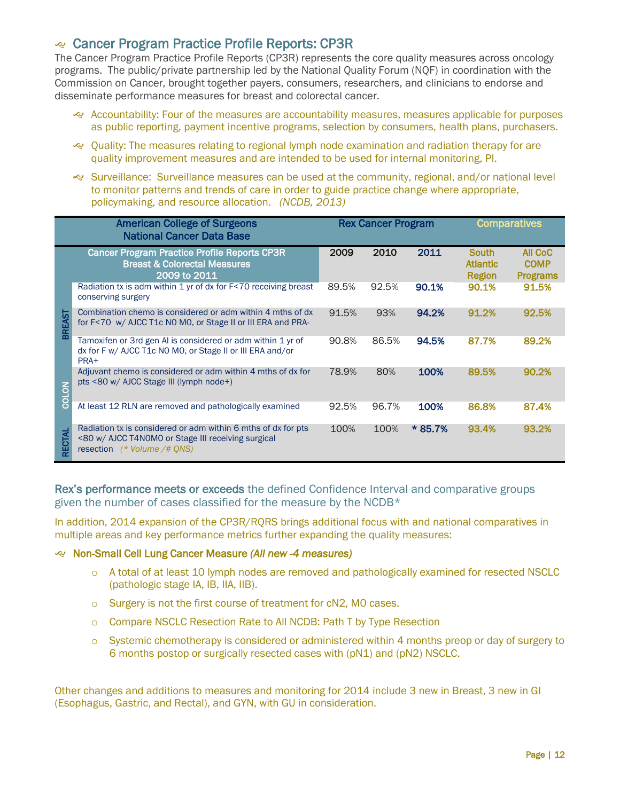### Cancer Program Practice Profile Reports: CP3R

The Cancer Program Practice Profile Reports (CP3R) represents the core quality measures across oncology programs. The public/private partnership led by the National Quality Forum (NQF) in coordination with the Commission on Cancer, brought together payers, consumers, researchers, and clinicians to endorse and disseminate performance measures for breast and colorectal cancer.

- Accountability: Four of the measures are accountability measures, measures applicable for purposes as public reporting, payment incentive programs, selection by consumers, health plans, purchasers.
- Quality: The measures relating to regional lymph node examination and radiation therapy for are quality improvement measures and are intended to be used for internal monitoring, PI.
- Surveillance: Surveillance measures can be used at the community, regional, and/or national level to monitor patterns and trends of care in order to guide practice change where appropriate, policymaking, and resource allocation. *(NCDB, 2013)*

| <b>American College of Surgeons</b><br><b>National Cancer Data Base</b> |                                                                                                                                                    |       | <b>Rex Cancer Program</b> |         |                                                  | <b>Comparatives</b>                       |  |
|-------------------------------------------------------------------------|----------------------------------------------------------------------------------------------------------------------------------------------------|-------|---------------------------|---------|--------------------------------------------------|-------------------------------------------|--|
|                                                                         | <b>Cancer Program Practice Profile Reports CP3R</b><br><b>Breast &amp; Colorectal Measures</b><br>2009 to 2011                                     | 2009  | 2010                      | 2011    | <b>South</b><br><b>Atlantic</b><br><b>Region</b> | All CoC<br><b>COMP</b><br><b>Programs</b> |  |
|                                                                         | Radiation tx is adm within 1 yr of dx for F<70 receiving breast<br>conserving surgery                                                              | 89.5% | 92.5%                     | 90.1%   | 90.1%                                            | 91.5%                                     |  |
| <b>BREAST</b>                                                           | Combination chemo is considered or adm within 4 mths of dx<br>for F<70 w/ AJCC T1c N0 M0, or Stage II or III ERA and PRA-                          | 91.5% | 93%                       | 94.2%   | 91.2%                                            | 92.5%                                     |  |
|                                                                         | Tamoxifen or 3rd gen AI is considered or adm within 1 yr of<br>dx for F w/ AJCC T1c N0 M0, or Stage II or III ERA and/or<br>PRA+                   | 90.8% | 86.5%                     | 94.5%   | 87.7%                                            | 89.2%                                     |  |
| COLON                                                                   | Adjuvant chemo is considered or adm within 4 mths of dx for<br>pts <80 w/ AJCC Stage III (lymph node+)                                             | 78.9% | 80%                       | 100%    | 89.5%                                            | 90.2%                                     |  |
|                                                                         | At least 12 RLN are removed and pathologically examined                                                                                            | 92.5% | 96.7%                     | 100%    | 86.8%                                            | 87.4%                                     |  |
| RECTAL                                                                  | Radiation tx is considered or adm within 6 mths of dx for pts<br><80 w/ AJCC T4N0M0 or Stage III receiving surgical<br>resection (* Volume /# ONS) | 100%  | 100%                      | * 85.7% | 93.4%                                            | 93.2%                                     |  |

Rex's performance meets or exceeds the defined Confidence Interval and comparative groups given the number of cases classified for the measure by the NCDB\*

In addition, 2014 expansion of the CP3R/RQRS brings additional focus with and national comparatives in multiple areas and key performance metrics further expanding the quality measures:

#### Non-Small Cell Lung Cancer Measure *(All new -4 measures)*

- o A total of at least 10 lymph nodes are removed and pathologically examined for resected NSCLC (pathologic stage IA, IB, IIA, IIB).
- o Surgery is not the first course of treatment for cN2, M0 cases.
- o Compare NSCLC Resection Rate to All NCDB: Path T by Type Resection
- o Systemic chemotherapy is considered or administered within 4 months preop or day of surgery to 6 months postop or surgically resected cases with (pN1) and (pN2) NSCLC.

Other changes and additions to measures and monitoring for 2014 include 3 new in Breast, 3 new in GI (Esophagus, Gastric, and Rectal), and GYN, with GU in consideration.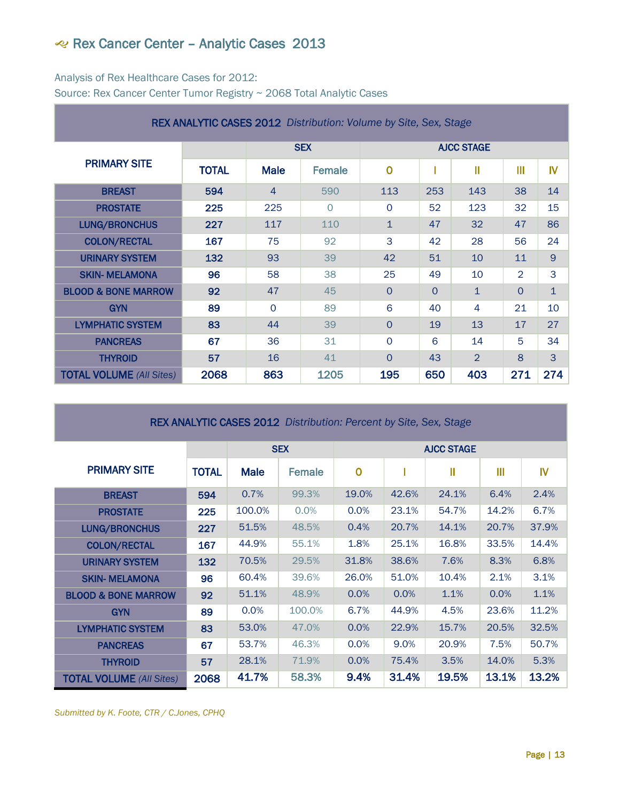# Rex Cancer Center – Analytic Cases 2013

#### Analysis of Rex Healthcare Cases for 2012: Source: Rex Cancer Center Tumor Registry ~ 2068 Total Analytic Cases

| <b>REX ANALYTIC CASES 2012</b> Distribution: Volume by Site, Sex, Stage |              |                |         |                   |          |                |                |                |  |
|-------------------------------------------------------------------------|--------------|----------------|---------|-------------------|----------|----------------|----------------|----------------|--|
|                                                                         |              | <b>SEX</b>     |         | <b>AJCC STAGE</b> |          |                |                |                |  |
| <b>PRIMARY SITE</b>                                                     | <b>TOTAL</b> | <b>Male</b>    | Female  | $\overline{0}$    |          | Ш              | $\mathbf{m}$   | IV             |  |
| <b>BREAST</b>                                                           | 594          | $\overline{4}$ | 590     | 113               | 253      | 143            | 38             | 14             |  |
| <b>PROSTATE</b>                                                         | 225          | 225            | $\circ$ | $\circ$           | 52       | 123            | 32             | 15             |  |
| <b>LUNG/BRONCHUS</b>                                                    | 227          | 117            | 110     | $\mathbf{1}$      | 47       | 32             | 47             | 86             |  |
| <b>COLON/RECTAL</b>                                                     | 167          | 75             | 92      | 3                 | 42       | 28             | 56             | 24             |  |
| <b>URINARY SYSTEM</b>                                                   | 132          | 93             | 39      | 42                | 51       | 10             | 11             | $\overline{9}$ |  |
| <b>SKIN- MELAMONA</b>                                                   | 96           | 58             | 38      | 25                | 49       | 10             | $\overline{2}$ | 3              |  |
| <b>BLOOD &amp; BONE MARROW</b>                                          | 92           | 47             | 45      | $\Omega$          | $\Omega$ | $\mathbf{1}$   | $\Omega$       | $\mathbf{1}$   |  |
| <b>GYN</b>                                                              | 89           | $\Omega$       | 89      | 6                 | 40       | 4              | 21             | 10             |  |
| <b>LYMPHATIC SYSTEM</b>                                                 | 83           | 44             | 39      | $\overline{O}$    | 19       | 13             | 17             | 27             |  |
| <b>PANCREAS</b>                                                         | 67           | 36             | 31      | $\Omega$          | 6        | 14             | 5              | 34             |  |
| <b>THYROID</b>                                                          | 57           | 16             | 41      | $\Omega$          | 43       | $\overline{2}$ | 8              | 3              |  |
| <b>TOTAL VOLUME</b> (All Sites)                                         | 2068         | 863            | 1205    | 195               | 650      | 403            | 271            | 274            |  |

REX ANALYTIC CASES 2012 *Distribution: Percent by Site, Sex, Stage*

|                                 |              | <b>SEX</b>  |               | <b>AJCC STAGE</b> |       |       |       |       |  |
|---------------------------------|--------------|-------------|---------------|-------------------|-------|-------|-------|-------|--|
| <b>PRIMARY SITE</b>             | <b>TOTAL</b> | <b>Male</b> | <b>Female</b> | $\mathbf 0$       |       | Ш     | Ш     | IV    |  |
| <b>BREAST</b>                   | 594          | 0.7%        | 99.3%         | 19.0%             | 42.6% | 24.1% | 6.4%  | 2.4%  |  |
| <b>PROSTATE</b>                 | 225          | 100.0%      | 0.0%          | 0.0%              | 23.1% | 54.7% | 14.2% | 6.7%  |  |
| <b>LUNG/BRONCHUS</b>            | 227          | 51.5%       | 48.5%         | 0.4%              | 20.7% | 14.1% | 20.7% | 37.9% |  |
| <b>COLON/RECTAL</b>             | 167          | 44.9%       | 55.1%         | 1.8%              | 25.1% | 16.8% | 33.5% | 14.4% |  |
| <b>URINARY SYSTEM</b>           | 132          | 70.5%       | 29.5%         | 31.8%             | 38.6% | 7.6%  | 8.3%  | 6.8%  |  |
| <b>SKIN- MELAMONA</b>           | 96           | 60.4%       | 39.6%         | 26.0%             | 51.0% | 10.4% | 2.1%  | 3.1%  |  |
| <b>BLOOD &amp; BONE MARROW</b>  | 92           | 51.1%       | 48.9%         | 0.0%              | 0.0%  | 1.1%  | 0.0%  | 1.1%  |  |
| <b>GYN</b>                      | 89           | 0.0%        | 100.0%        | 6.7%              | 44.9% | 4.5%  | 23.6% | 11.2% |  |
| <b>LYMPHATIC SYSTEM</b>         | 83           | 53.0%       | 47.0%         | 0.0%              | 22.9% | 15.7% | 20.5% | 32.5% |  |
| <b>PANCREAS</b>                 | 67           | 53.7%       | 46.3%         | 0.0%              | 9.0%  | 20.9% | 7.5%  | 50.7% |  |
| <b>THYROID</b>                  | 57           | 28.1%       | 71.9%         | 0.0%              | 75.4% | 3.5%  | 14.0% | 5.3%  |  |
| <b>TOTAL VOLUME</b> (All Sites) | 2068         | 41.7%       | 58.3%         | 9.4%              | 31.4% | 19.5% | 13.1% | 13.2% |  |

*Submitted by K. Foote, CTR / C.Jones, CPHQ*